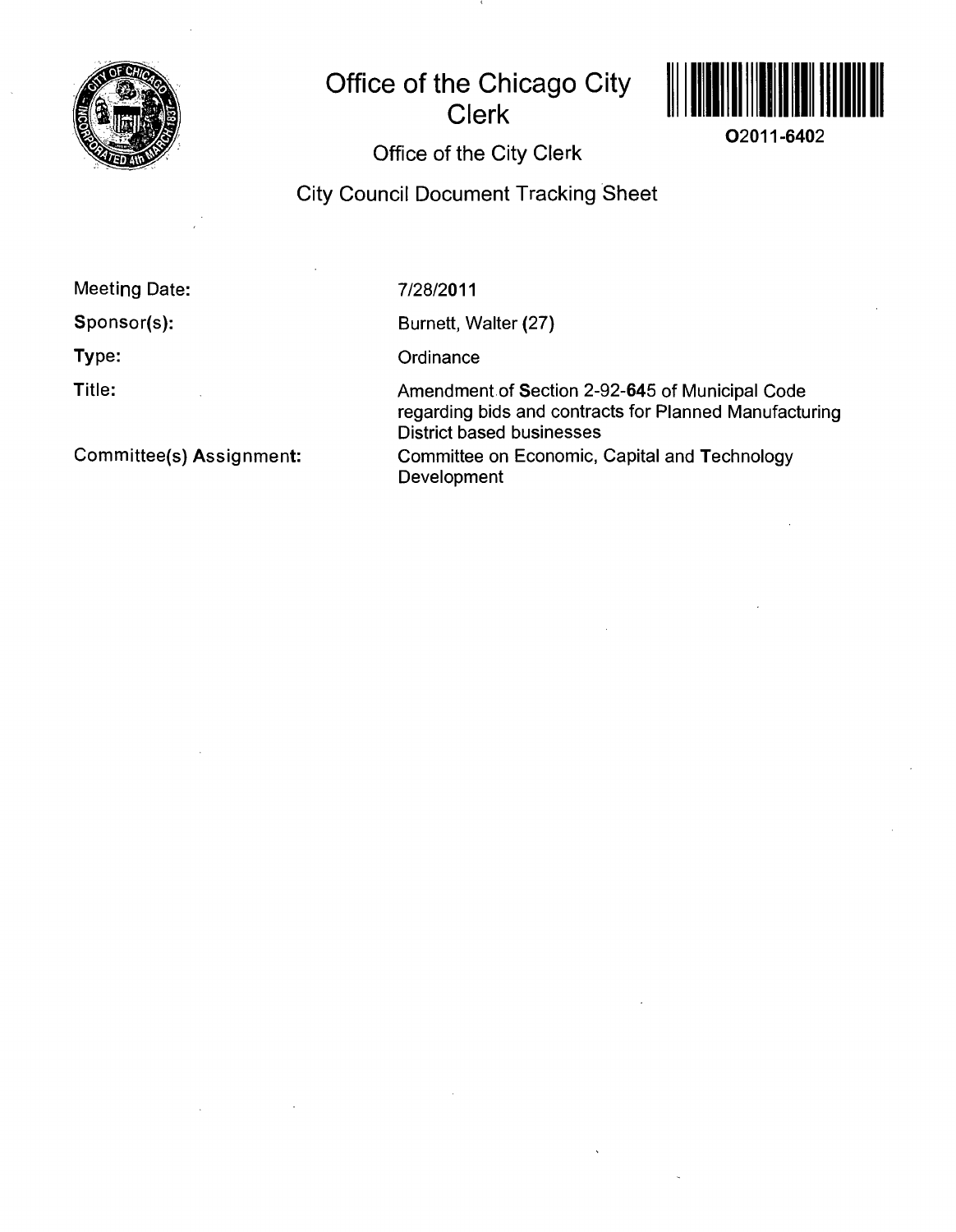

# **Office of the Chicago City Clerk**



**02011-6402** 

**Office of the City Clerk** 

**City Council Document Tracking Sheet** 

**Meeting Date:** 

**Sponsor(s):** 

**Type:** 

**Title:** 

7/28/2011

Burnett, Walter (27)

**Ordinance** 

Development

Amendment of Section 2-92-645 of Municipal Code regarding bids and contracts for Planned Manufacturing District based businesses Committee on Economic, Capital and Technology

**Committee(s) Assignment:**